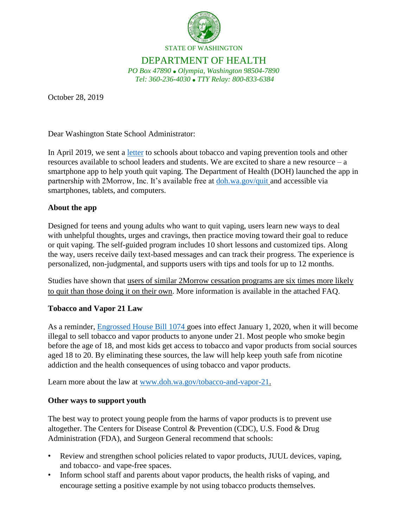

## DEPARTMENT OF HEALTH

*PO Box 47890 Olympia, Washington 98504-7890 Tel: 360-236-4030 TTY Relay: 800-833-6384*

October 28, 2019

Dear Washington State School Administrator:

In April 2019, we sent a *letter* to schools about tobacco and vaping prevention tools and other resources available to school leaders and students. We are excited to share a new resource – a smartphone app to help youth quit vaping. The Department of Health (DOH) launched the app in partnership with 2Morrow, Inc. It's available free at [doh.wa.gov/quit](http://www.doh.wa.gov/quit) and accessible via smartphones, tablets, and computers.

## **About the app**

Designed for teens and young adults who want to quit vaping, users learn new ways to deal with unhelpful thoughts, urges and cravings, then practice moving toward their goal to reduce or quit vaping. The self-guided program includes 10 short lessons and customized tips. Along the way, users receive daily text-based messages and can track their progress. The experience is personalized, non-judgmental, and supports users with tips and tools for up to 12 months.

Studies have shown that users of similar 2Morrow cessation programs are six times more likely to quit than those doing it on their own. More information is available in the attached FAQ.

## **Tobacco and Vapor 21 Law**

As a reminder, [Engrossed House Bill 1074](http://lawfilesext.leg.wa.gov/biennium/2019-20/Pdf/Bills/House%20Passed%20Legislature/1074.PL.pdf) goes into effect January 1, 2020, when it will become illegal to sell tobacco and vapor products to anyone under 21. Most people who smoke begin before the age of 18, and most kids get access to tobacco and vapor products from social sources aged 18 to 20. By eliminating these sources, the law will help keep youth safe from nicotine addiction and the health consequences of using tobacco and vapor products.

Learn more about the law at [www.doh.wa.gov/tobacco-and-vapor-21.](http://www.doh.wa.gov/tobacco-and-vapor-21)

## **Other ways to support youth**

The best way to protect young people from the harms of vapor products is to prevent use altogether. The Centers for Disease Control & Prevention (CDC), U.S. Food & Drug Administration (FDA), and Surgeon General recommend that schools:

- Review and strengthen school policies related to vapor products, JUUL devices, vaping, and tobacco- and vape-free spaces.
- Inform school staff and parents about vapor products, the health risks of vaping, and encourage setting a positive example by not using tobacco products themselves.